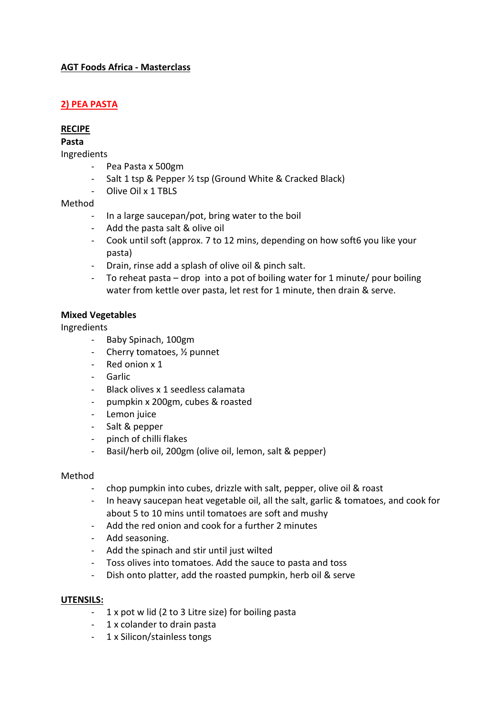# **AGT Foods Africa - Masterclass**

# **2) PEA PASTA**

### **RECIPE**

**Pasta**

Ingredients

- Pea Pasta x 500gm
- Salt 1 tsp & Pepper ½ tsp (Ground White & Cracked Black)
- Olive Oil x 1 TBLS

### Method

- In a large saucepan/pot, bring water to the boil
- Add the pasta salt & olive oil
- Cook until soft (approx. 7 to 12 mins, depending on how soft6 you like your pasta)
- Drain, rinse add a splash of olive oil & pinch salt.
- To reheat pasta drop into a pot of boiling water for 1 minute/ pour boiling water from kettle over pasta, let rest for 1 minute, then drain & serve.

### **Mixed Vegetables**

### Ingredients

- Baby Spinach, 100gm
- Cherry tomatoes,  $\frac{1}{2}$  punnet
- Red onion x 1
- Garlic
- Black olives x 1 seedless calamata
- pumpkin x 200gm, cubes & roasted
- Lemon juice
- Salt & pepper
- pinch of chilli flakes
- Basil/herb oil, 200gm (olive oil, lemon, salt & pepper)

#### Method

- chop pumpkin into cubes, drizzle with salt, pepper, olive oil & roast
- In heavy saucepan heat vegetable oil, all the salt, garlic & tomatoes, and cook for about 5 to 10 mins until tomatoes are soft and mushy
- Add the red onion and cook for a further 2 minutes
- Add seasoning.
- Add the spinach and stir until just wilted
- Toss olives into tomatoes. Add the sauce to pasta and toss
- Dish onto platter, add the roasted pumpkin, herb oil & serve

### **UTENSILS:**

- 1 x pot w lid (2 to 3 Litre size) for boiling pasta
- 1 x colander to drain pasta
- 1 x Silicon/stainless tongs